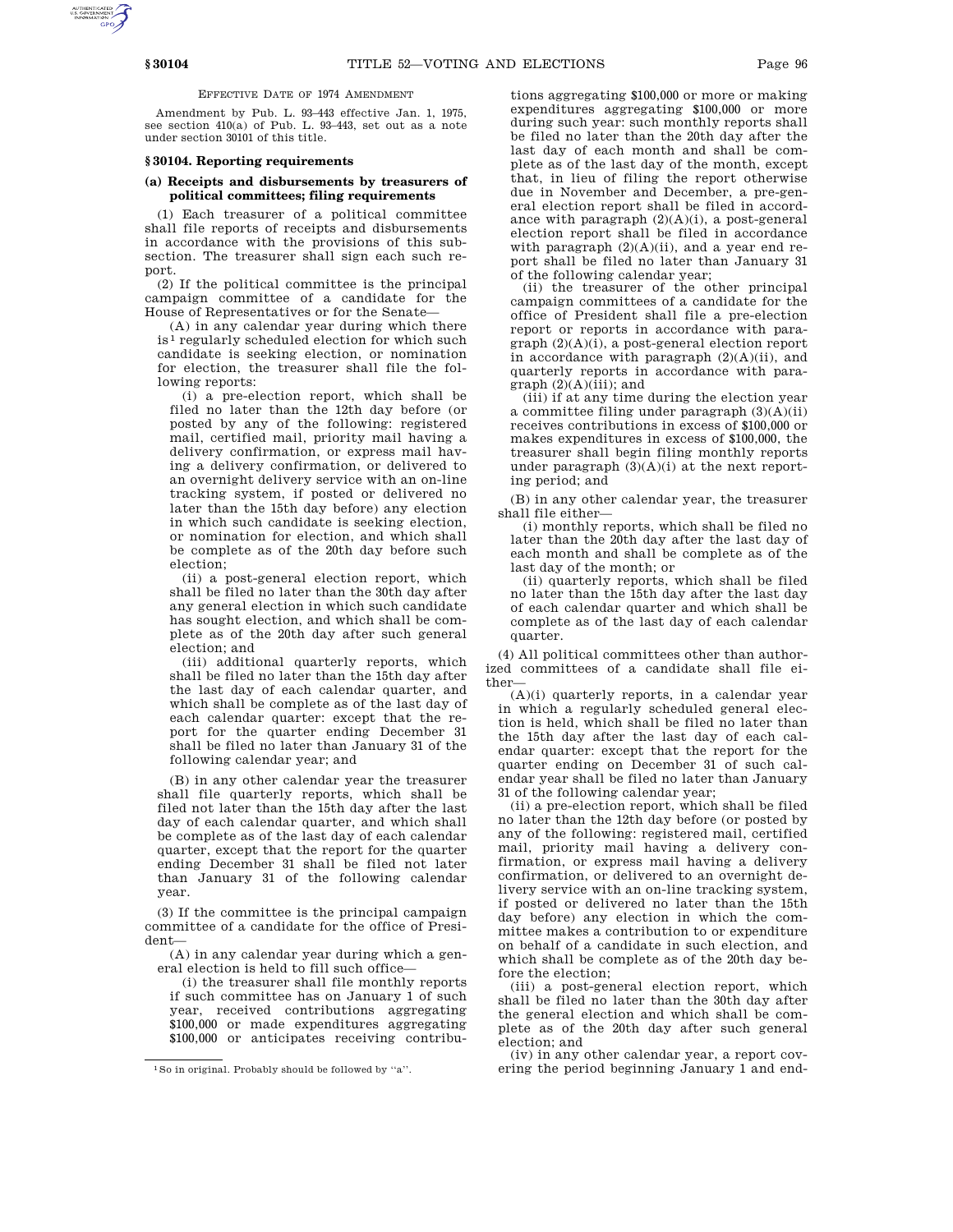EFFECTIVE DATE OF 1974 AMENDMENT

Amendment by Pub. L. 93–443 effective Jan. 1, 1975, see section 410(a) of Pub. L. 93–443, set out as a note under section 30101 of this title.

#### **§ 30104. Reporting requirements**

# **(a) Receipts and disbursements by treasurers of political committees; filing requirements**

(1) Each treasurer of a political committee shall file reports of receipts and disbursements in accordance with the provisions of this subsection. The treasurer shall sign each such report.

(2) If the political committee is the principal campaign committee of a candidate for the House of Representatives or for the Senate—

(A) in any calendar year during which there is 1 regularly scheduled election for which such candidate is seeking election, or nomination for election, the treasurer shall file the following reports:

(i) a pre-election report, which shall be filed no later than the 12th day before (or posted by any of the following: registered mail, certified mail, priority mail having a delivery confirmation, or express mail having a delivery confirmation, or delivered to an overnight delivery service with an on-line tracking system, if posted or delivered no later than the 15th day before) any election in which such candidate is seeking election, or nomination for election, and which shall be complete as of the 20th day before such election;

(ii) a post-general election report, which shall be filed no later than the 30th day after any general election in which such candidate has sought election, and which shall be complete as of the 20th day after such general election; and

(iii) additional quarterly reports, which shall be filed no later than the 15th day after the last day of each calendar quarter, and which shall be complete as of the last day of each calendar quarter: except that the report for the quarter ending December 31 shall be filed no later than January 31 of the following calendar year; and

(B) in any other calendar year the treasurer shall file quarterly reports, which shall be filed not later than the 15th day after the last day of each calendar quarter, and which shall be complete as of the last day of each calendar quarter, except that the report for the quarter ending December 31 shall be filed not later than January 31 of the following calendar year.

(3) If the committee is the principal campaign committee of a candidate for the office of President—

(A) in any calendar year during which a general election is held to fill such office—

(i) the treasurer shall file monthly reports if such committee has on January 1 of such year, received contributions aggregating \$100,000 or made expenditures aggregating \$100,000 or anticipates receiving contributions aggregating \$100,000 or more or making expenditures aggregating \$100,000 or more during such year: such monthly reports shall be filed no later than the 20th day after the last day of each month and shall be complete as of the last day of the month, except that, in lieu of filing the report otherwise due in November and December, a pre-general election report shall be filed in accordance with paragraph  $(2)(A)(i)$ , a post-general election report shall be filed in accordance with paragraph (2)(A)(ii), and a year end report shall be filed no later than January 31 of the following calendar year;

(ii) the treasurer of the other principal campaign committees of a candidate for the office of President shall file a pre-election report or reports in accordance with paragraph (2)(A)(i), a post-general election report in accordance with paragraph  $(2)(A)(ii)$ , and quarterly reports in accordance with para $graph (2)(A)(iii); and$ 

(iii) if at any time during the election year a committee filing under paragraph  $(3)(A)(ii)$ receives contributions in excess of \$100,000 or makes expenditures in excess of \$100,000, the treasurer shall begin filing monthly reports under paragraph  $(3)(A)(i)$  at the next reporting period; and

(B) in any other calendar year, the treasurer shall file either—

(i) monthly reports, which shall be filed no later than the 20th day after the last day of each month and shall be complete as of the last day of the month; or

(ii) quarterly reports, which shall be filed no later than the 15th day after the last day of each calendar quarter and which shall be complete as of the last day of each calendar quarter.

(4) All political committees other than authorized committees of a candidate shall file either—

(A)(i) quarterly reports, in a calendar year in which a regularly scheduled general election is held, which shall be filed no later than the 15th day after the last day of each calendar quarter: except that the report for the quarter ending on December 31 of such calendar year shall be filed no later than January 31 of the following calendar year;

(ii) a pre-election report, which shall be filed no later than the 12th day before (or posted by any of the following: registered mail, certified mail, priority mail having a delivery confirmation, or express mail having a delivery confirmation, or delivered to an overnight delivery service with an on-line tracking system, if posted or delivered no later than the 15th day before) any election in which the committee makes a contribution to or expenditure on behalf of a candidate in such election, and which shall be complete as of the 20th day before the election;

(iii) a post-general election report, which shall be filed no later than the 30th day after the general election and which shall be complete as of the 20th day after such general election; and

(iv) in any other calendar year, a report covering the period beginning January 1 and end-

<sup>1</sup>So in original. Probably should be followed by ''a''.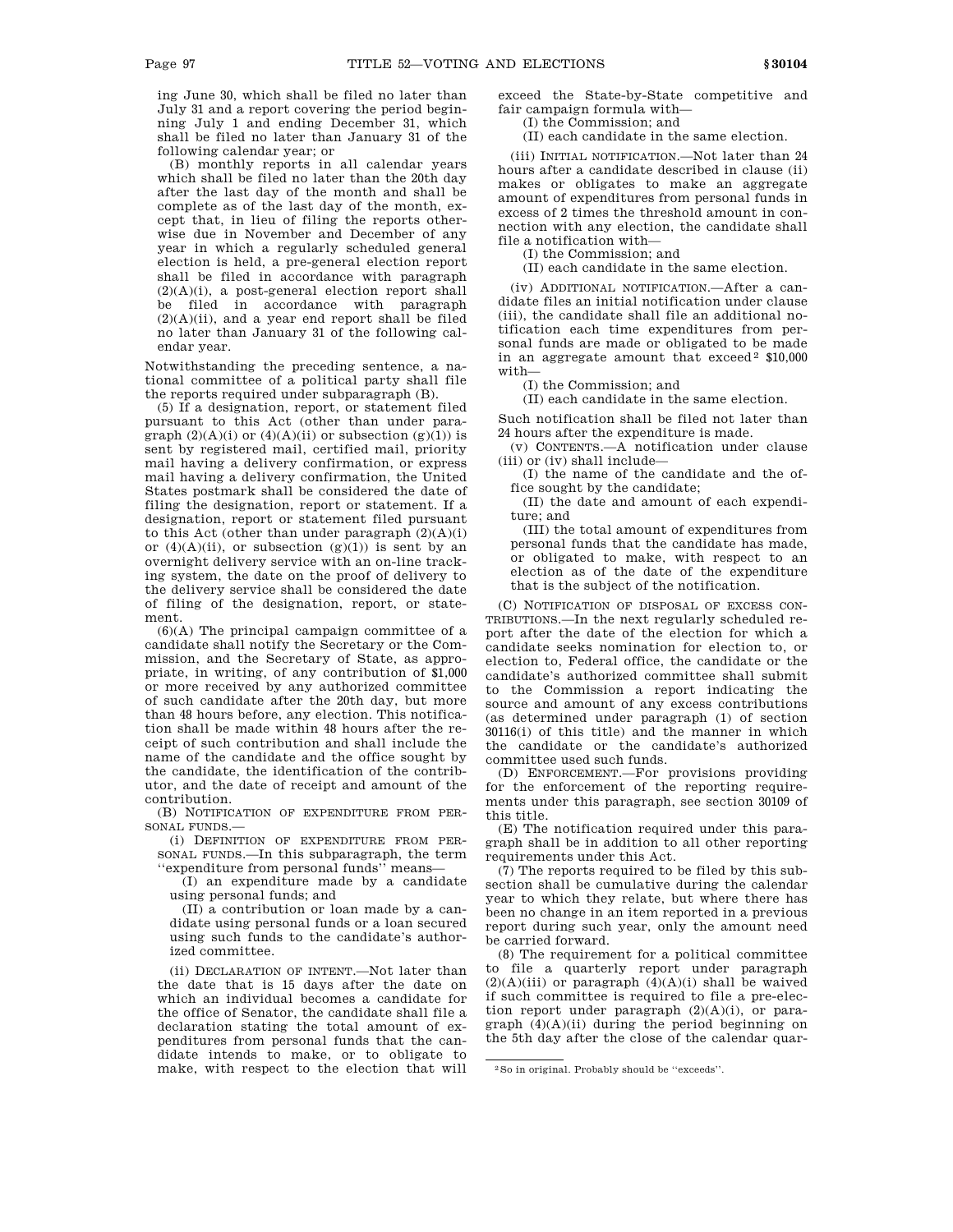ing June 30, which shall be filed no later than July 31 and a report covering the period beginning July 1 and ending December 31, which shall be filed no later than January 31 of the following calendar year; or

(B) monthly reports in all calendar years which shall be filed no later than the 20th day after the last day of the month and shall be complete as of the last day of the month, except that, in lieu of filing the reports otherwise due in November and December of any year in which a regularly scheduled general election is held, a pre-general election report shall be filed in accordance with paragraph (2)(A)(i), a post-general election report shall be filed in accordance with paragraph  $(2)(A)(ii)$ , and a year end report shall be filed no later than January 31 of the following calendar year.

Notwithstanding the preceding sentence, a national committee of a political party shall file the reports required under subparagraph (B).

(5) If a designation, report, or statement filed pursuant to this Act (other than under paragraph  $(2)(A)(i)$  or  $(4)(A)(ii)$  or subsection  $(g)(1)$  is sent by registered mail, certified mail, priority mail having a delivery confirmation, or express mail having a delivery confirmation, the United States postmark shall be considered the date of filing the designation, report or statement. If a designation, report or statement filed pursuant to this Act (other than under paragraph  $(2)(A)(i)$ ) or  $(4)(A)(ii)$ , or subsection  $(g)(1)$  is sent by an overnight delivery service with an on-line tracking system, the date on the proof of delivery to the delivery service shall be considered the date of filing of the designation, report, or statement.

 $(6)(A)$  The principal campaign committee of a candidate shall notify the Secretary or the Commission, and the Secretary of State, as appropriate, in writing, of any contribution of \$1,000 or more received by any authorized committee of such candidate after the 20th day, but more than 48 hours before, any election. This notification shall be made within 48 hours after the receipt of such contribution and shall include the name of the candidate and the office sought by the candidate, the identification of the contributor, and the date of receipt and amount of the contribution.

(B) NOTIFICATION OF EXPENDITURE FROM PER-SONAL FUNDS.—

(i) DEFINITION OF EXPENDITURE FROM PER-SONAL FUNDS.—In this subparagraph, the term ''expenditure from personal funds'' means—

(I) an expenditure made by a candidate using personal funds; and

(II) a contribution or loan made by a candidate using personal funds or a loan secured using such funds to the candidate's authorized committee.

(ii) DECLARATION OF INTENT.—Not later than the date that is 15 days after the date on which an individual becomes a candidate for the office of Senator, the candidate shall file a declaration stating the total amount of expenditures from personal funds that the candidate intends to make, or to obligate to make, with respect to the election that will exceed the State-by-State competitive and fair campaign formula with—

(I) the Commission; and

(II) each candidate in the same election.

(iii) INITIAL NOTIFICATION.—Not later than 24 hours after a candidate described in clause (ii) makes or obligates to make an aggregate amount of expenditures from personal funds in excess of 2 times the threshold amount in connection with any election, the candidate shall file a notification with—

(I) the Commission; and

(II) each candidate in the same election.

(iv) ADDITIONAL NOTIFICATION.—After a candidate files an initial notification under clause (iii), the candidate shall file an additional notification each time expenditures from personal funds are made or obligated to be made in an aggregate amount that  $exceed<sup>2</sup>$  \$10,000 with—

(I) the Commission; and

(II) each candidate in the same election.

Such notification shall be filed not later than 24 hours after the expenditure is made.

(v) CONTENTS.—A notification under clause (iii) or (iv) shall include—

(I) the name of the candidate and the office sought by the candidate;

(II) the date and amount of each expenditure; and

(III) the total amount of expenditures from personal funds that the candidate has made, or obligated to make, with respect to an election as of the date of the expenditure that is the subject of the notification.

(C) NOTIFICATION OF DISPOSAL OF EXCESS CON-TRIBUTIONS.—In the next regularly scheduled report after the date of the election for which a candidate seeks nomination for election to, or election to, Federal office, the candidate or the candidate's authorized committee shall submit to the Commission a report indicating the source and amount of any excess contributions (as determined under paragraph (1) of section 30116(i) of this title) and the manner in which the candidate or the candidate's authorized committee used such funds.

(D) ENFORCEMENT.—For provisions providing for the enforcement of the reporting requirements under this paragraph, see section 30109 of this title.

(E) The notification required under this paragraph shall be in addition to all other reporting requirements under this Act.

(7) The reports required to be filed by this subsection shall be cumulative during the calendar year to which they relate, but where there has been no change in an item reported in a previous report during such year, only the amount need be carried forward.

(8) The requirement for a political committee to file a quarterly report under paragraph  $(2)(A)(iii)$  or paragraph  $(4)(A)(i)$  shall be waived if such committee is required to file a pre-election report under paragraph (2)(A)(i), or paragraph  $(4)(A)(ii)$  during the period beginning on the 5th day after the close of the calendar quar-

<sup>2</sup>So in original. Probably should be ''exceeds''.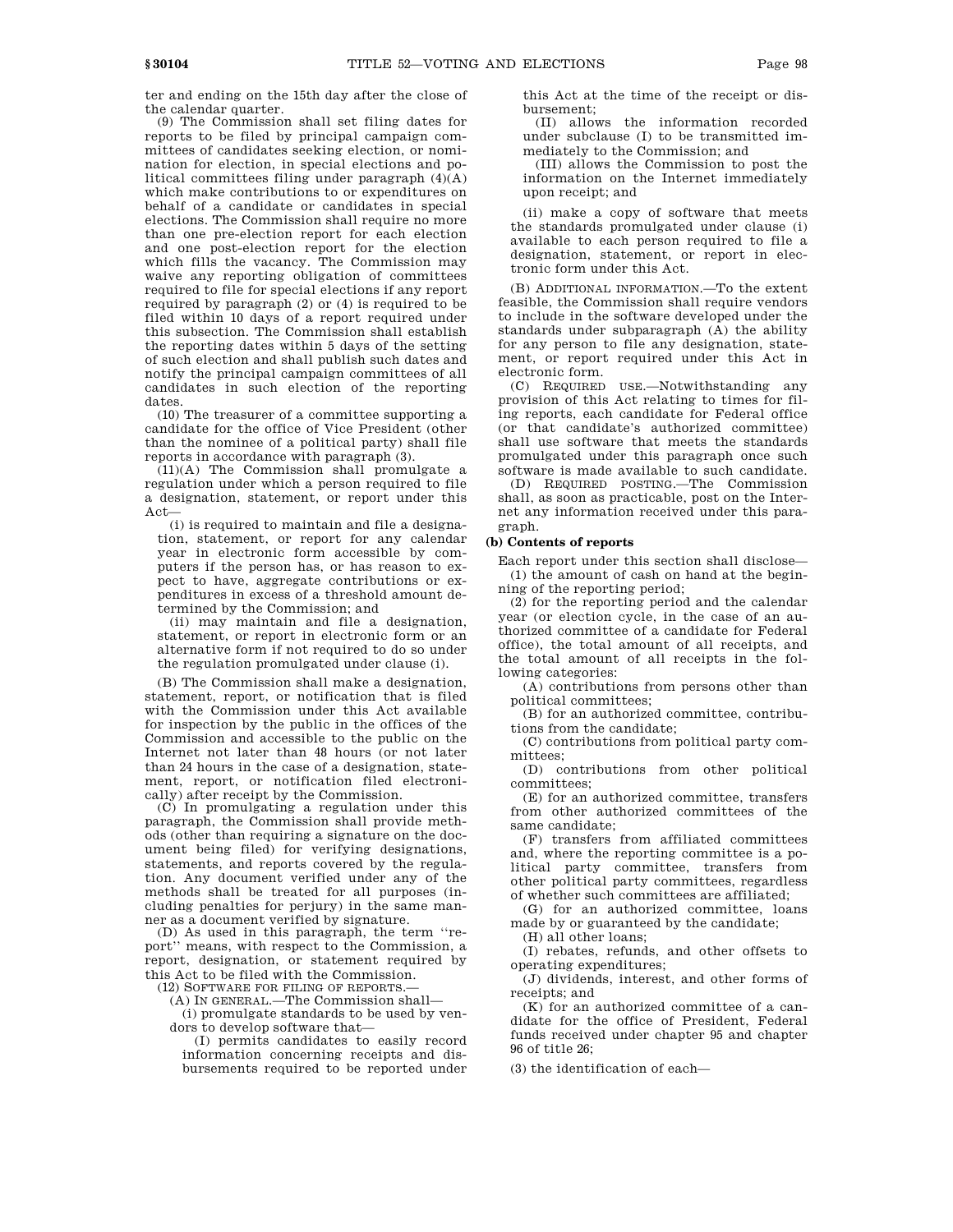ter and ending on the 15th day after the close of the calendar quarter.

(9) The Commission shall set filing dates for reports to be filed by principal campaign committees of candidates seeking election, or nomination for election, in special elections and political committees filing under paragraph  $(4)(A)$ which make contributions to or expenditures on behalf of a candidate or candidates in special elections. The Commission shall require no more than one pre-election report for each election and one post-election report for the election which fills the vacancy. The Commission may waive any reporting obligation of committees required to file for special elections if any report required by paragraph (2) or (4) is required to be filed within 10 days of a report required under this subsection. The Commission shall establish the reporting dates within 5 days of the setting of such election and shall publish such dates and notify the principal campaign committees of all candidates in such election of the reporting dates.

(10) The treasurer of a committee supporting a candidate for the office of Vice President (other than the nominee of a political party) shall file reports in accordance with paragraph (3).

(11)(A) The Commission shall promulgate a regulation under which a person required to file a designation, statement, or report under this Act—

(i) is required to maintain and file a designation, statement, or report for any calendar year in electronic form accessible by computers if the person has, or has reason to expect to have, aggregate contributions or expenditures in excess of a threshold amount determined by the Commission; and

(ii) may maintain and file a designation, statement, or report in electronic form or an alternative form if not required to do so under the regulation promulgated under clause (i).

(B) The Commission shall make a designation, statement, report, or notification that is filed with the Commission under this Act available for inspection by the public in the offices of the Commission and accessible to the public on the Internet not later than 48 hours (or not later than 24 hours in the case of a designation, statement, report, or notification filed electronically) after receipt by the Commission.

(C) In promulgating a regulation under this paragraph, the Commission shall provide methods (other than requiring a signature on the document being filed) for verifying designations, statements, and reports covered by the regulation. Any document verified under any of the methods shall be treated for all purposes (including penalties for perjury) in the same manner as a document verified by signature.

(D) As used in this paragraph, the term ''report'' means, with respect to the Commission, a report, designation, or statement required by this Act to be filed with the Commission.

(12) SOFTWARE FOR FILING OF REPORTS.—

(A) IN GENERAL.—The Commission shall—

(i) promulgate standards to be used by vendors to develop software that—

(I) permits candidates to easily record information concerning receipts and disbursements required to be reported under this Act at the time of the receipt or disbursement;

(II) allows the information recorded under subclause (I) to be transmitted immediately to the Commission; and

(III) allows the Commission to post the information on the Internet immediately upon receipt; and

(ii) make a copy of software that meets the standards promulgated under clause (i) available to each person required to file a designation, statement, or report in electronic form under this Act.

(B) ADDITIONAL INFORMATION.—To the extent feasible, the Commission shall require vendors to include in the software developed under the standards under subparagraph (A) the ability for any person to file any designation, statement, or report required under this Act in electronic form.

(C) REQUIRED USE.—Notwithstanding any provision of this Act relating to times for filing reports, each candidate for Federal office (or that candidate's authorized committee) shall use software that meets the standards promulgated under this paragraph once such software is made available to such candidate.

(D) REQUIRED POSTING.—The Commission shall, as soon as practicable, post on the Internet any information received under this paragraph.

# **(b) Contents of reports**

Each report under this section shall disclose— (1) the amount of cash on hand at the beginning of the reporting period;

(2) for the reporting period and the calendar year (or election cycle, in the case of an authorized committee of a candidate for Federal office), the total amount of all receipts, and the total amount of all receipts in the following categories:

(A) contributions from persons other than political committees;

(B) for an authorized committee, contributions from the candidate;

(C) contributions from political party committees;

(D) contributions from other political committees;

(E) for an authorized committee, transfers from other authorized committees of the same candidate;

(F) transfers from affiliated committees and, where the reporting committee is a political party committee, transfers from other political party committees, regardless of whether such committees are affiliated;

(G) for an authorized committee, loans made by or guaranteed by the candidate;

(H) all other loans;

(I) rebates, refunds, and other offsets to operating expenditures;

(J) dividends, interest, and other forms of receipts; and

(K) for an authorized committee of a candidate for the office of President, Federal funds received under chapter 95 and chapter 96 of title 26;

(3) the identification of each—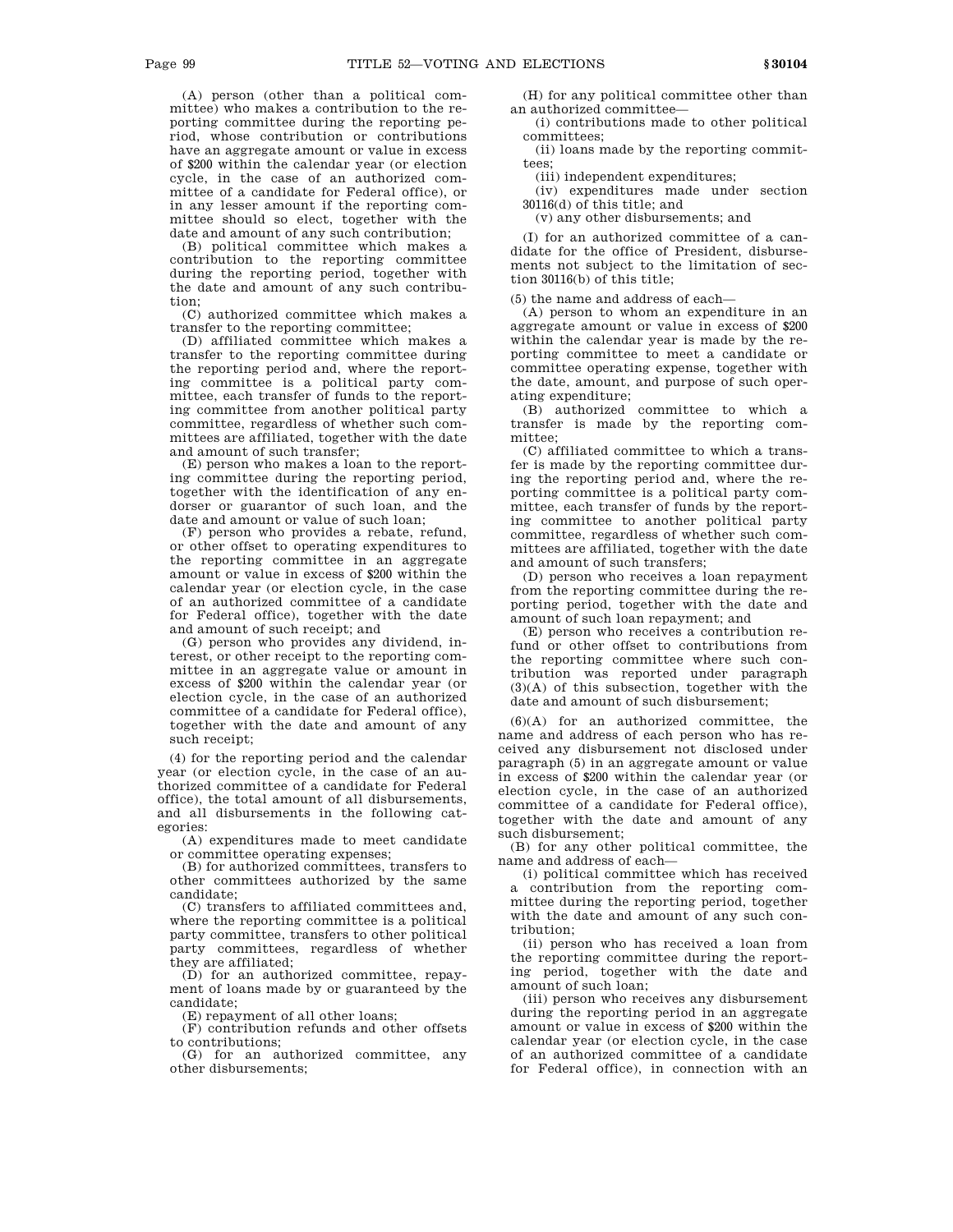(A) person (other than a political committee) who makes a contribution to the reporting committee during the reporting period, whose contribution or contributions have an aggregate amount or value in excess of \$200 within the calendar year (or election cycle, in the case of an authorized committee of a candidate for Federal office), or in any lesser amount if the reporting committee should so elect, together with the date and amount of any such contribution;

(B) political committee which makes a contribution to the reporting committee during the reporting period, together with the date and amount of any such contribution;

(C) authorized committee which makes a transfer to the reporting committee;

(D) affiliated committee which makes a transfer to the reporting committee during the reporting period and, where the reporting committee is a political party committee, each transfer of funds to the reporting committee from another political party committee, regardless of whether such committees are affiliated, together with the date and amount of such transfer;

(E) person who makes a loan to the reporting committee during the reporting period, together with the identification of any endorser or guarantor of such loan, and the date and amount or value of such loan;

(F) person who provides a rebate, refund, or other offset to operating expenditures to the reporting committee in an aggregate amount or value in excess of \$200 within the calendar year (or election cycle, in the case of an authorized committee of a candidate for Federal office), together with the date and amount of such receipt; and

(G) person who provides any dividend, interest, or other receipt to the reporting committee in an aggregate value or amount in excess of \$200 within the calendar year (or election cycle, in the case of an authorized committee of a candidate for Federal office), together with the date and amount of any such receipt;

(4) for the reporting period and the calendar year (or election cycle, in the case of an authorized committee of a candidate for Federal office), the total amount of all disbursements, and all disbursements in the following categories:

(A) expenditures made to meet candidate or committee operating expenses;

(B) for authorized committees, transfers to other committees authorized by the same candidate;

(C) transfers to affiliated committees and, where the reporting committee is a political party committee, transfers to other political party committees, regardless of whether they are affiliated;

(D) for an authorized committee, repayment of loans made by or guaranteed by the candidate;

(E) repayment of all other loans;

(F) contribution refunds and other offsets to contributions;

(G) for an authorized committee, any other disbursements;

(H) for any political committee other than an authorized committee—

(i) contributions made to other political committees;

(ii) loans made by the reporting committees;

(iii) independent expenditures;

(iv) expenditures made under section 30116(d) of this title; and

(v) any other disbursements; and

(I) for an authorized committee of a candidate for the office of President, disbursements not subject to the limitation of section 30116(b) of this title;

(5) the name and address of each—

(A) person to whom an expenditure in an aggregate amount or value in excess of \$200 within the calendar year is made by the reporting committee to meet a candidate or committee operating expense, together with the date, amount, and purpose of such operating expenditure;

(B) authorized committee to which a transfer is made by the reporting committee;

(C) affiliated committee to which a transfer is made by the reporting committee during the reporting period and, where the reporting committee is a political party committee, each transfer of funds by the reporting committee to another political party committee, regardless of whether such committees are affiliated, together with the date and amount of such transfers;

(D) person who receives a loan repayment from the reporting committee during the reporting period, together with the date and amount of such loan repayment; and

(E) person who receives a contribution refund or other offset to contributions from the reporting committee where such contribution was reported under paragraph (3)(A) of this subsection, together with the date and amount of such disbursement;

 $(6)(A)$  for an authorized committee, the name and address of each person who has received any disbursement not disclosed under paragraph (5) in an aggregate amount or value in excess of \$200 within the calendar year (or election cycle, in the case of an authorized committee of a candidate for Federal office), together with the date and amount of any such disbursement;

(B) for any other political committee, the name and address of each—

(i) political committee which has received a contribution from the reporting committee during the reporting period, together with the date and amount of any such contribution;

(ii) person who has received a loan from the reporting committee during the reporting period, together with the date and amount of such loan;

(iii) person who receives any disbursement during the reporting period in an aggregate amount or value in excess of \$200 within the calendar year (or election cycle, in the case of an authorized committee of a candidate for Federal office), in connection with an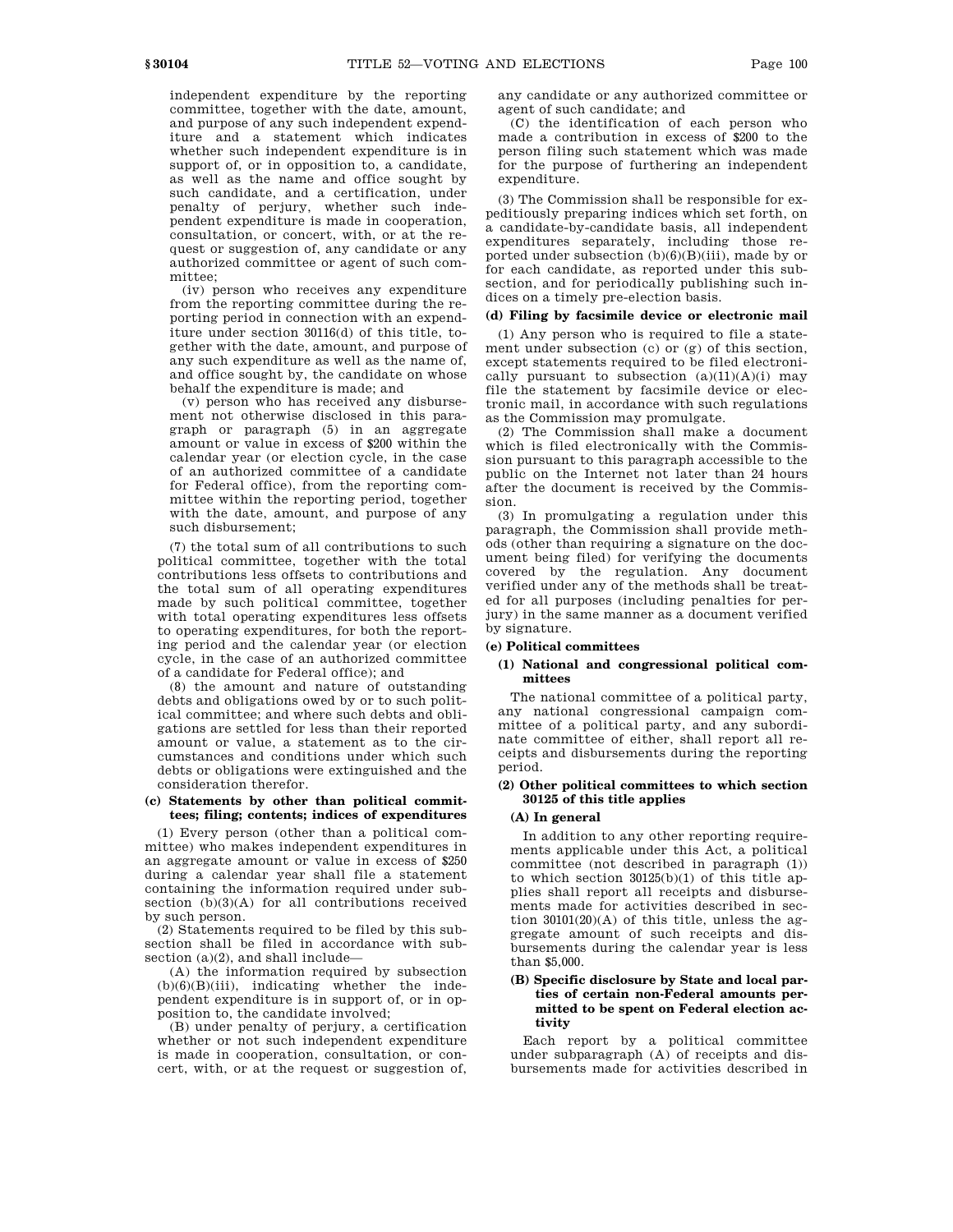independent expenditure by the reporting committee, together with the date, amount, and purpose of any such independent expenditure and a statement which indicates whether such independent expenditure is in support of, or in opposition to, a candidate, as well as the name and office sought by such candidate, and a certification, under penalty of perjury, whether such independent expenditure is made in cooperation, consultation, or concert, with, or at the request or suggestion of, any candidate or any authorized committee or agent of such committee;

(iv) person who receives any expenditure from the reporting committee during the reporting period in connection with an expenditure under section 30116(d) of this title, together with the date, amount, and purpose of any such expenditure as well as the name of, and office sought by, the candidate on whose behalf the expenditure is made; and

(v) person who has received any disbursement not otherwise disclosed in this paragraph or paragraph (5) in an aggregate amount or value in excess of \$200 within the calendar year (or election cycle, in the case of an authorized committee of a candidate for Federal office), from the reporting committee within the reporting period, together with the date, amount, and purpose of any such disbursement;

(7) the total sum of all contributions to such political committee, together with the total contributions less offsets to contributions and the total sum of all operating expenditures made by such political committee, together with total operating expenditures less offsets to operating expenditures, for both the reporting period and the calendar year (or election cycle, in the case of an authorized committee of a candidate for Federal office); and

(8) the amount and nature of outstanding debts and obligations owed by or to such political committee; and where such debts and obligations are settled for less than their reported amount or value, a statement as to the circumstances and conditions under which such debts or obligations were extinguished and the consideration therefor.

#### **(c) Statements by other than political committees; filing; contents; indices of expenditures**

(1) Every person (other than a political committee) who makes independent expenditures in an aggregate amount or value in excess of \$250 during a calendar year shall file a statement containing the information required under subsection  $(b)(3)(A)$  for all contributions received by such person.

(2) Statements required to be filed by this subsection shall be filed in accordance with subsection  $(a)(2)$ , and shall include—

(A) the information required by subsection  $(b)(6)(B)(iii)$ , indicating whether the independent expenditure is in support of, or in opposition to, the candidate involved;

(B) under penalty of perjury, a certification whether or not such independent expenditure is made in cooperation, consultation, or concert, with, or at the request or suggestion of,

any candidate or any authorized committee or agent of such candidate; and

(C) the identification of each person who made a contribution in excess of \$200 to the person filing such statement which was made for the purpose of furthering an independent expenditure.

(3) The Commission shall be responsible for expeditiously preparing indices which set forth, on a candidate-by-candidate basis, all independent expenditures separately, including those reported under subsection  $(b)(6)(B)(iii)$ , made by or for each candidate, as reported under this subsection, and for periodically publishing such indices on a timely pre-election basis.

# **(d) Filing by facsimile device or electronic mail**

(1) Any person who is required to file a statement under subsection (c) or (g) of this section, except statements required to be filed electronically pursuant to subsection  $(a)(11)(A)(i)$  may file the statement by facsimile device or electronic mail, in accordance with such regulations as the Commission may promulgate.

(2) The Commission shall make a document which is filed electronically with the Commission pursuant to this paragraph accessible to the public on the Internet not later than 24 hours after the document is received by the Commission.

(3) In promulgating a regulation under this paragraph, the Commission shall provide methods (other than requiring a signature on the document being filed) for verifying the documents covered by the regulation. Any document verified under any of the methods shall be treated for all purposes (including penalties for perjury) in the same manner as a document verified by signature.

#### **(e) Political committees**

## **(1) National and congressional political committees**

The national committee of a political party, any national congressional campaign committee of a political party, and any subordinate committee of either, shall report all receipts and disbursements during the reporting period.

# **(2) Other political committees to which section 30125 of this title applies**

#### **(A) In general**

In addition to any other reporting requirements applicable under this Act, a political committee (not described in paragraph (1)) to which section 30125(b)(1) of this title applies shall report all receipts and disbursements made for activities described in section  $30101(20)(A)$  of this title, unless the aggregate amount of such receipts and disbursements during the calendar year is less than \$5,000.

## **(B) Specific disclosure by State and local parties of certain non-Federal amounts permitted to be spent on Federal election activity**

Each report by a political committee under subparagraph (A) of receipts and disbursements made for activities described in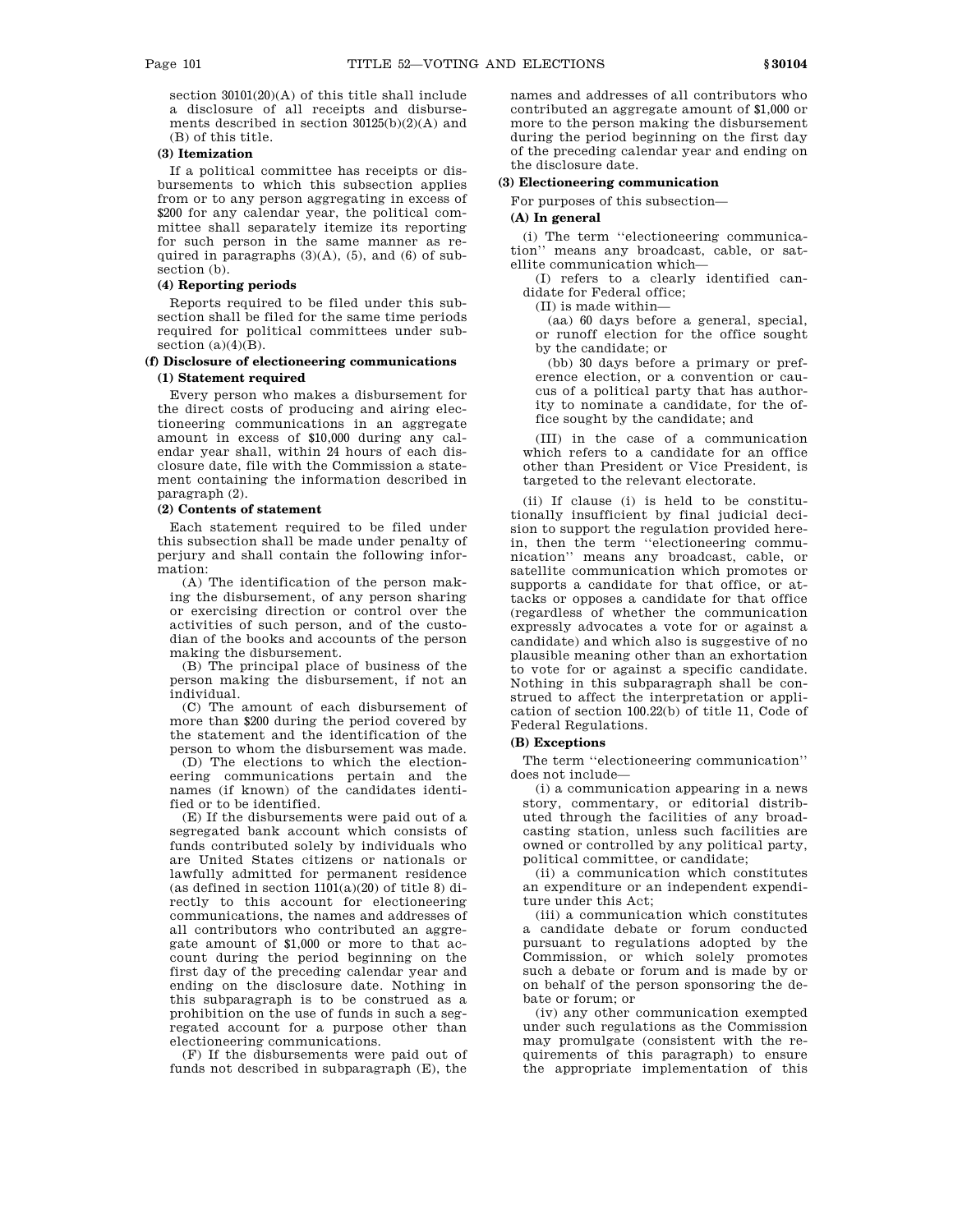section 30101(20)(A) of this title shall include a disclosure of all receipts and disbursements described in section 30125(b)(2)(A) and (B) of this title.

# **(3) Itemization**

If a political committee has receipts or disbursements to which this subsection applies from or to any person aggregating in excess of \$200 for any calendar year, the political committee shall separately itemize its reporting for such person in the same manner as required in paragraphs (3)(A), (5), and (6) of subsection (b).

# **(4) Reporting periods**

Reports required to be filed under this subsection shall be filed for the same time periods required for political committees under subsection  $(a)(4)(B)$ .

# **(f) Disclosure of electioneering communications (1) Statement required**

Every person who makes a disbursement for the direct costs of producing and airing electioneering communications in an aggregate amount in excess of \$10,000 during any calendar year shall, within 24 hours of each disclosure date, file with the Commission a statement containing the information described in paragraph (2).

## **(2) Contents of statement**

Each statement required to be filed under this subsection shall be made under penalty of perjury and shall contain the following information:

(A) The identification of the person making the disbursement, of any person sharing or exercising direction or control over the activities of such person, and of the custodian of the books and accounts of the person making the disbursement.

(B) The principal place of business of the person making the disbursement, if not an individual.

(C) The amount of each disbursement of more than \$200 during the period covered by the statement and the identification of the person to whom the disbursement was made.

(D) The elections to which the electioneering communications pertain and the names (if known) of the candidates identified or to be identified.

(E) If the disbursements were paid out of a segregated bank account which consists of funds contributed solely by individuals who are United States citizens or nationals or lawfully admitted for permanent residence (as defined in section  $1101(a)(20)$  of title 8) directly to this account for electioneering communications, the names and addresses of all contributors who contributed an aggregate amount of \$1,000 or more to that account during the period beginning on the first day of the preceding calendar year and ending on the disclosure date. Nothing in this subparagraph is to be construed as a prohibition on the use of funds in such a segregated account for a purpose other than electioneering communications.

(F) If the disbursements were paid out of funds not described in subparagraph (E), the

names and addresses of all contributors who contributed an aggregate amount of \$1,000 or more to the person making the disbursement during the period beginning on the first day of the preceding calendar year and ending on the disclosure date.

# **(3) Electioneering communication**

For purposes of this subsection—

## **(A) In general**

(i) The term ''electioneering communication'' means any broadcast, cable, or satellite communication which—

(I) refers to a clearly identified candidate for Federal office;

(II) is made within—

(aa) 60 days before a general, special, or runoff election for the office sought by the candidate; or

(bb) 30 days before a primary or preference election, or a convention or caucus of a political party that has authority to nominate a candidate, for the office sought by the candidate; and

(III) in the case of a communication which refers to a candidate for an office other than President or Vice President, is targeted to the relevant electorate.

(ii) If clause (i) is held to be constitutionally insufficient by final judicial decision to support the regulation provided herein, then the term "electioneering communication'' means any broadcast, cable, or satellite communication which promotes or supports a candidate for that office, or attacks or opposes a candidate for that office (regardless of whether the communication expressly advocates a vote for or against a candidate) and which also is suggestive of no plausible meaning other than an exhortation to vote for or against a specific candidate. Nothing in this subparagraph shall be construed to affect the interpretation or application of section 100.22(b) of title 11, Code of Federal Regulations.

## **(B) Exceptions**

The term ''electioneering communication'' does not include—

(i) a communication appearing in a news story, commentary, or editorial distributed through the facilities of any broadcasting station, unless such facilities are owned or controlled by any political party, political committee, or candidate;

(ii) a communication which constitutes an expenditure or an independent expenditure under this Act;

(iii) a communication which constitutes a candidate debate or forum conducted pursuant to regulations adopted by the Commission, or which solely promotes such a debate or forum and is made by or on behalf of the person sponsoring the debate or forum; or

(iv) any other communication exempted under such regulations as the Commission may promulgate (consistent with the requirements of this paragraph) to ensure the appropriate implementation of this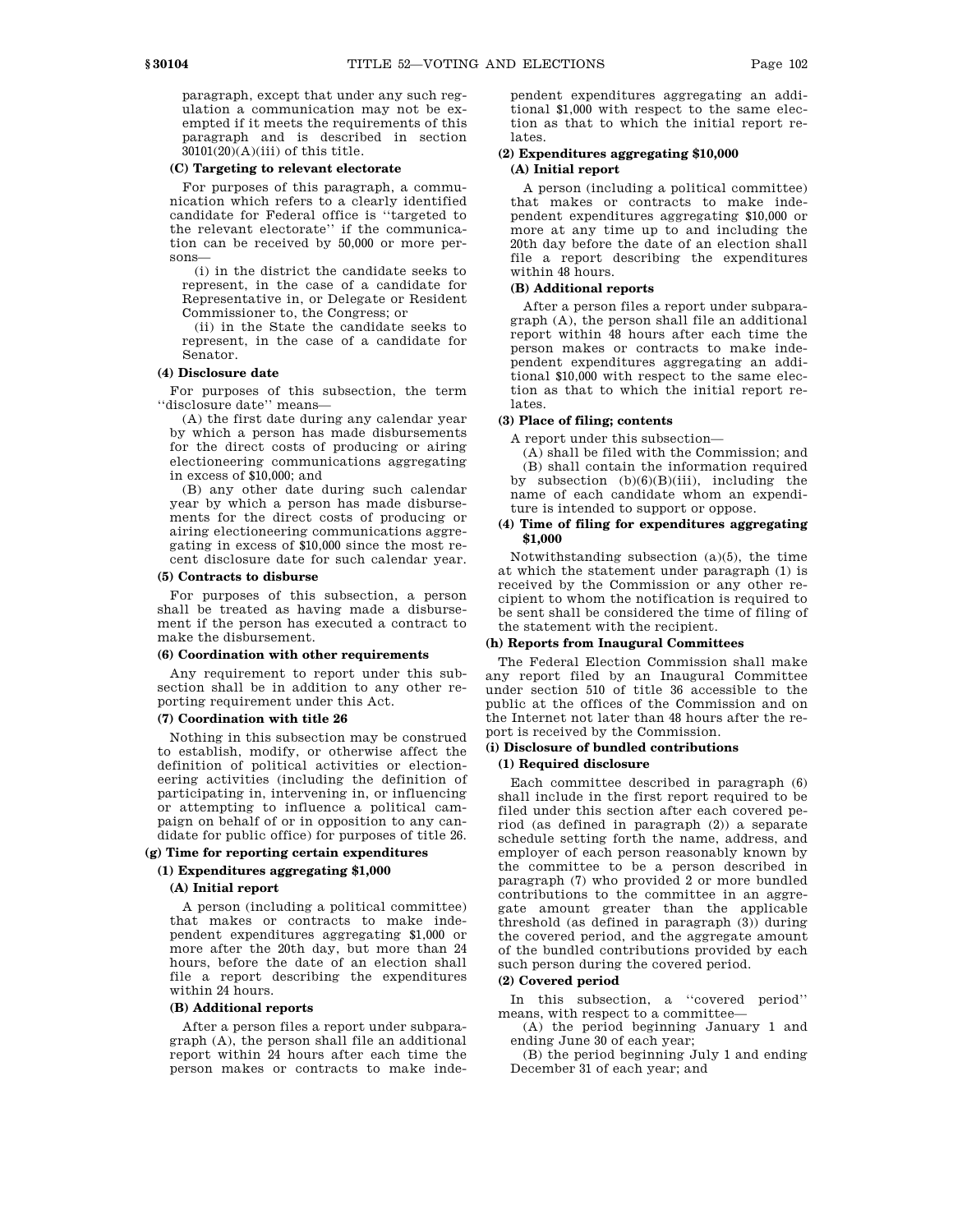paragraph, except that under any such regulation a communication may not be exempted if it meets the requirements of this paragraph and is described in section  $30101(20)(A)(iii)$  of this title.

## **(C) Targeting to relevant electorate**

For purposes of this paragraph, a communication which refers to a clearly identified candidate for Federal office is ''targeted to the relevant electorate'' if the communication can be received by 50,000 or more persons—

(i) in the district the candidate seeks to represent, in the case of a candidate for Representative in, or Delegate or Resident Commissioner to, the Congress; or

(ii) in the State the candidate seeks to represent, in the case of a candidate for Senator.

#### **(4) Disclosure date**

For purposes of this subsection, the term ''disclosure date'' means—

(A) the first date during any calendar year by which a person has made disbursements for the direct costs of producing or airing electioneering communications aggregating in excess of \$10,000; and

(B) any other date during such calendar year by which a person has made disbursements for the direct costs of producing or airing electioneering communications aggregating in excess of \$10,000 since the most recent disclosure date for such calendar year.

## **(5) Contracts to disburse**

For purposes of this subsection, a person shall be treated as having made a disbursement if the person has executed a contract to make the disbursement.

#### **(6) Coordination with other requirements**

Any requirement to report under this subsection shall be in addition to any other reporting requirement under this Act.

# **(7) Coordination with title 26**

Nothing in this subsection may be construed to establish, modify, or otherwise affect the definition of political activities or electioneering activities (including the definition of participating in, intervening in, or influencing or attempting to influence a political campaign on behalf of or in opposition to any candidate for public office) for purposes of title 26.

# **(g) Time for reporting certain expenditures**

# **(1) Expenditures aggregating \$1,000**

# **(A) Initial report**

A person (including a political committee) that makes or contracts to make independent expenditures aggregating \$1,000 or more after the 20th day, but more than 24 hours, before the date of an election shall file a report describing the expenditures within 24 hours.

#### **(B) Additional reports**

After a person files a report under subparagraph (A), the person shall file an additional report within 24 hours after each time the person makes or contracts to make independent expenditures aggregating an additional \$1,000 with respect to the same election as that to which the initial report relates.

# **(2) Expenditures aggregating \$10,000 (A) Initial report**

A person (including a political committee) that makes or contracts to make independent expenditures aggregating \$10,000 or more at any time up to and including the 20th day before the date of an election shall file a report describing the expenditures within 48 hours.

# **(B) Additional reports**

After a person files a report under subparagraph (A), the person shall file an additional report within 48 hours after each time the person makes or contracts to make independent expenditures aggregating an additional \$10,000 with respect to the same election as that to which the initial report relates.

## **(3) Place of filing; contents**

A report under this subsection—

(A) shall be filed with the Commission; and (B) shall contain the information required by subsection  $(b)(6)(B)(iii)$ , including the name of each candidate whom an expenditure is intended to support or oppose.

#### **(4) Time of filing for expenditures aggregating \$1,000**

Notwithstanding subsection (a)(5), the time at which the statement under paragraph (1) is received by the Commission or any other recipient to whom the notification is required to be sent shall be considered the time of filing of the statement with the recipient.

#### **(h) Reports from Inaugural Committees**

The Federal Election Commission shall make any report filed by an Inaugural Committee under section 510 of title 36 accessible to the public at the offices of the Commission and on the Internet not later than 48 hours after the report is received by the Commission.

# **(i) Disclosure of bundled contributions**

## **(1) Required disclosure**

Each committee described in paragraph (6) shall include in the first report required to be filed under this section after each covered period (as defined in paragraph (2)) a separate schedule setting forth the name, address, and employer of each person reasonably known by the committee to be a person described in paragraph (7) who provided 2 or more bundled contributions to the committee in an aggregate amount greater than the applicable threshold (as defined in paragraph (3)) during the covered period, and the aggregate amount of the bundled contributions provided by each such person during the covered period.

# **(2) Covered period**

In this subsection, a ''covered period'' means, with respect to a committee—

(A) the period beginning January 1 and ending June 30 of each year;

(B) the period beginning July 1 and ending December 31 of each year; and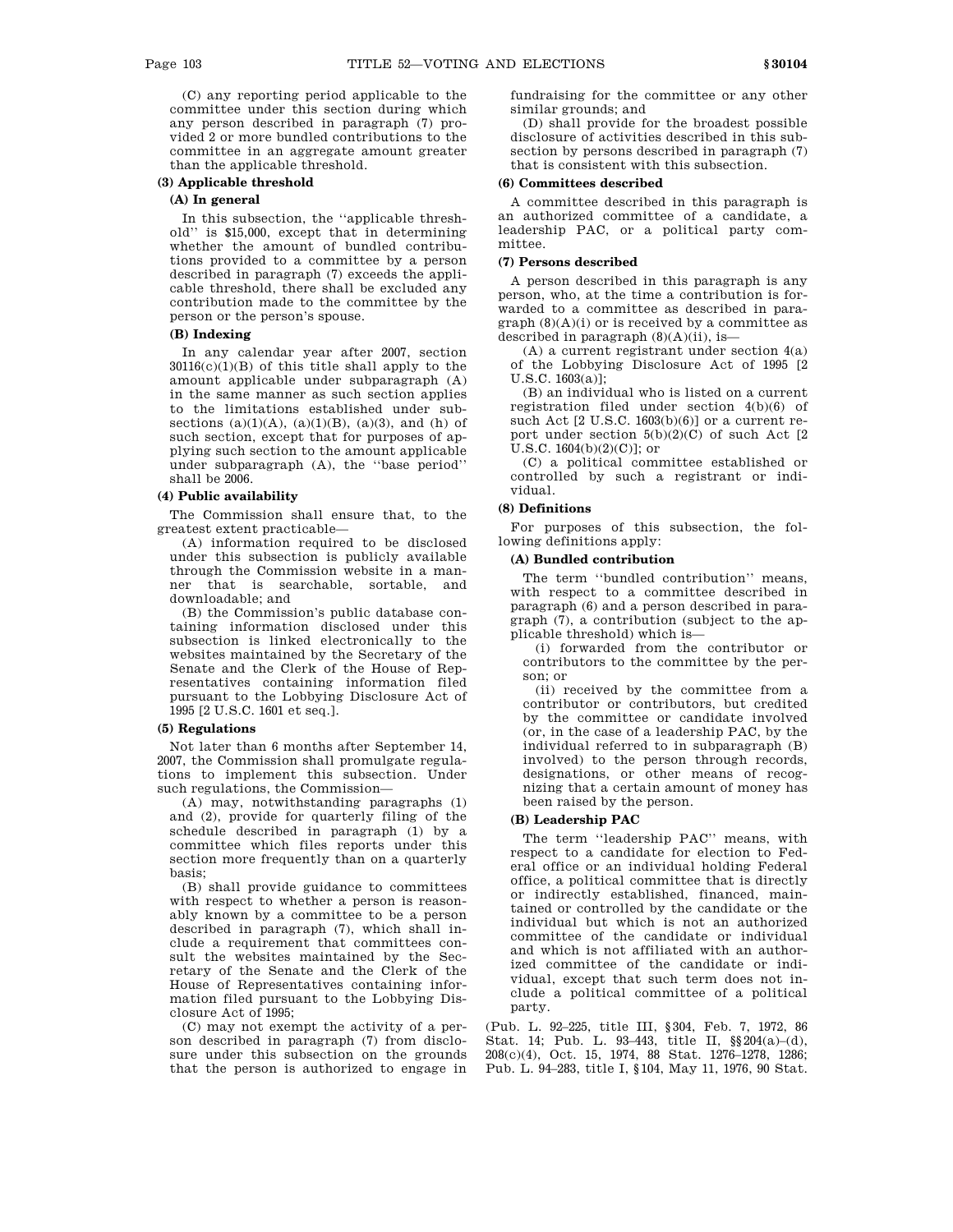(C) any reporting period applicable to the committee under this section during which any person described in paragraph (7) provided 2 or more bundled contributions to the committee in an aggregate amount greater than the applicable threshold.

# **(3) Applicable threshold**

## **(A) In general**

In this subsection, the ''applicable threshold'' is \$15,000, except that in determining whether the amount of bundled contributions provided to a committee by a person described in paragraph (7) exceeds the applicable threshold, there shall be excluded any contribution made to the committee by the person or the person's spouse.

# **(B) Indexing**

In any calendar year after 2007, section  $30116(c)(1)(B)$  of this title shall apply to the amount applicable under subparagraph (A) in the same manner as such section applies to the limitations established under subsections  $(a)(1)(A)$ ,  $(a)(1)(B)$ ,  $(a)(3)$ , and  $(h)$  of such section, except that for purposes of applying such section to the amount applicable under subparagraph (A), the ''base period'' shall be 2006.

# **(4) Public availability**

The Commission shall ensure that, to the greatest extent practicable—

(A) information required to be disclosed under this subsection is publicly available through the Commission website in a manner that is searchable, sortable, and downloadable; and

(B) the Commission's public database containing information disclosed under this subsection is linked electronically to the websites maintained by the Secretary of the Senate and the Clerk of the House of Representatives containing information filed pursuant to the Lobbying Disclosure Act of 1995 [2 U.S.C. 1601 et seq.].

#### **(5) Regulations**

Not later than 6 months after September 14, 2007, the Commission shall promulgate regulations to implement this subsection. Under such regulations, the Commission—

(A) may, notwithstanding paragraphs (1) and (2), provide for quarterly filing of the schedule described in paragraph (1) by a committee which files reports under this section more frequently than on a quarterly basis;

(B) shall provide guidance to committees with respect to whether a person is reasonably known by a committee to be a person described in paragraph (7), which shall include a requirement that committees consult the websites maintained by the Secretary of the Senate and the Clerk of the House of Representatives containing information filed pursuant to the Lobbying Disclosure Act of 1995;

(C) may not exempt the activity of a person described in paragraph (7) from disclosure under this subsection on the grounds that the person is authorized to engage in fundraising for the committee or any other similar grounds; and

(D) shall provide for the broadest possible disclosure of activities described in this subsection by persons described in paragraph (7) that is consistent with this subsection.

#### **(6) Committees described**

A committee described in this paragraph is an authorized committee of a candidate, a leadership PAC, or a political party committee.

### **(7) Persons described**

A person described in this paragraph is any person, who, at the time a contribution is forwarded to a committee as described in paragraph  $(8)(A)(i)$  or is received by a committee as described in paragraph  $(8)(A)(ii)$ , is-

(A) a current registrant under section 4(a) of the Lobbying Disclosure Act of 1995 [2 U.S.C. 1603(a)];

(B) an individual who is listed on a current registration filed under section 4(b)(6) of such Act [2 U.S.C. 1603(b)(6)] or a current report under section  $5(b)(2)(C)$  of such Act  $[2]$  $U.S.C. 1604(b)(2)(C)$ ; or

(C) a political committee established or controlled by such a registrant or individual.

# **(8) Definitions**

For purposes of this subsection, the following definitions apply:

# **(A) Bundled contribution**

The term ''bundled contribution'' means, with respect to a committee described in paragraph (6) and a person described in paragraph (7), a contribution (subject to the applicable threshold) which is—

(i) forwarded from the contributor or contributors to the committee by the person; or

(ii) received by the committee from a contributor or contributors, but credited by the committee or candidate involved (or, in the case of a leadership PAC, by the individual referred to in subparagraph (B) involved) to the person through records, designations, or other means of recognizing that a certain amount of money has been raised by the person.

## **(B) Leadership PAC**

The term ''leadership PAC'' means, with respect to a candidate for election to Federal office or an individual holding Federal office, a political committee that is directly or indirectly established, financed, maintained or controlled by the candidate or the individual but which is not an authorized committee of the candidate or individual and which is not affiliated with an authorized committee of the candidate or individual, except that such term does not include a political committee of a political party.

(Pub. L. 92–225, title III, §304, Feb. 7, 1972, 86 Stat. 14; Pub. L. 93–443, title II, §§204(a)–(d), 208(c)(4), Oct. 15, 1974, 88 Stat. 1276–1278, 1286; Pub. L. 94–283, title I, §104, May 11, 1976, 90 Stat.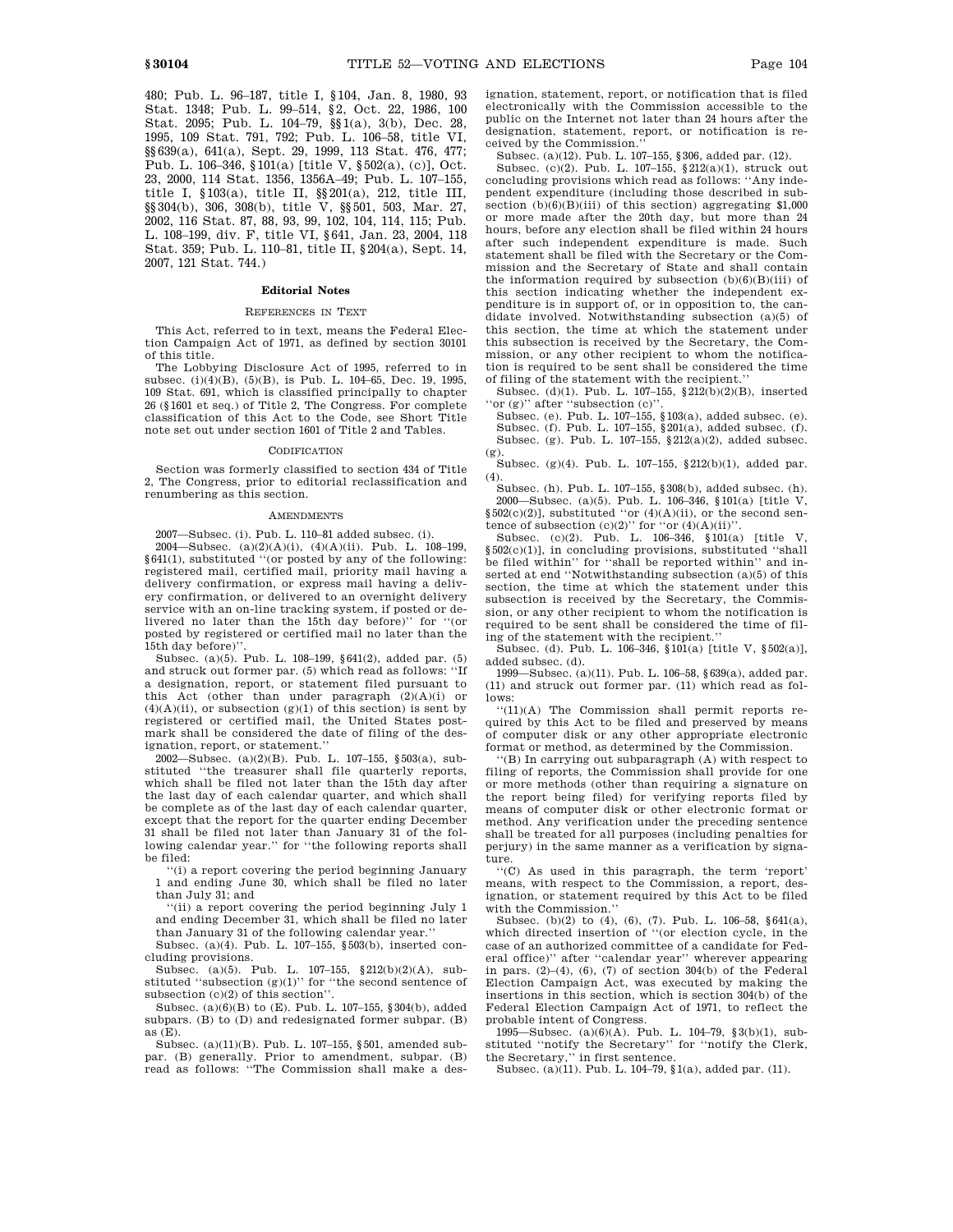480; Pub. L. 96–187, title I, §104, Jan. 8, 1980, 93 Stat. 1348; Pub. L. 99–514, §2, Oct. 22, 1986, 100 Stat. 2095; Pub. L. 104–79, §§1(a), 3(b), Dec. 28, 1995, 109 Stat. 791, 792; Pub. L. 106–58, title VI, §§639(a), 641(a), Sept. 29, 1999, 113 Stat. 476, 477; Pub. L. 106–346, §101(a) [title V, §502(a), (c)], Oct. 23, 2000, 114 Stat. 1356, 1356A–49; Pub. L. 107–155, title I, §103(a), title II, §§201(a), 212, title III, §§304(b), 306, 308(b), title V, §§501, 503, Mar. 27, 2002, 116 Stat. 87, 88, 93, 99, 102, 104, 114, 115; Pub. L. 108–199, div. F, title VI, §641, Jan. 23, 2004, 118 Stat. 359; Pub. L. 110–81, title II, §204(a), Sept. 14, 2007, 121 Stat. 744.)

#### **Editorial Notes**

#### REFERENCES IN TEXT

This Act, referred to in text, means the Federal Election Campaign Act of 1971, as defined by section 30101 of this title.

The Lobbying Disclosure Act of 1995, referred to in subsec. (i)(4)(B), (5)(B), is Pub. L. 104–65, Dec. 19, 1995, 109 Stat. 691, which is classified principally to chapter 26 (§1601 et seq.) of Title 2, The Congress. For complete classification of this Act to the Code, see Short Title note set out under section 1601 of Title 2 and Tables.

#### **CODIFICATION**

Section was formerly classified to section 434 of Title 2, The Congress, prior to editorial reclassification and renumbering as this section.

#### AMENDMENTS

2007—Subsec. (i). Pub. L. 110–81 added subsec. (i).

2004—Subsec. (a)(2)(A)(i), (4)(A)(ii). Pub. L. 108–199, §641(1), substituted ''(or posted by any of the following: registered mail, certified mail, priority mail having a delivery confirmation, or express mail having a delivery confirmation, or delivered to an overnight delivery service with an on-line tracking system, if posted or delivered no later than the 15th day before)'' for ''(or posted by registered or certified mail no later than the 15th day before)''.

Subsec. (a)(5). Pub. L. 108–199, §641(2), added par. (5) and struck out former par. (5) which read as follows: ''If a designation, report, or statement filed pursuant to this Act (other than under paragraph  $(2)(A)(i)$  or  $(4)(\mathrm{A})(\mathrm{ii}),$  or subsection  $(\mathrm{g})(1)$  of this section) is sent by registered or certified mail, the United States postmark shall be considered the date of filing of the designation, report, or statement.''

2002—Subsec. (a)(2)(B). Pub. L. 107–155, §503(a), substituted ''the treasurer shall file quarterly reports, which shall be filed not later than the 15th day after the last day of each calendar quarter, and which shall be complete as of the last day of each calendar quarter, except that the report for the quarter ending December 31 shall be filed not later than January 31 of the following calendar year.'' for ''the following reports shall be filed:

''(i) a report covering the period beginning January 1 and ending June 30, which shall be filed no later than July 31; and

''(ii) a report covering the period beginning July 1 and ending December 31, which shall be filed no later than January 31 of the following calendar year.''

Subsec. (a)(4). Pub. L. 107–155, §503(b), inserted concluding provisions.

Subsec. (a)(5). Pub. L. 107–155, §212(b)(2)(A), substituted "subsection  $(g)(1)$ " for "the second sentence of subsection (c)(2) of this section''.

Subsec. (a)(6)(B) to (E). Pub. L. 107–155, §304(b), added subpars. (B) to (D) and redesignated former subpar. (B) as  $(E)$ .

Subsec. (a)(11)(B). Pub. L. 107–155, §501, amended subpar. (B) generally. Prior to amendment, subpar. (B) read as follows: ''The Commission shall make a designation, statement, report, or notification that is filed electronically with the Commission accessible to the public on the Internet not later than 24 hours after the designation, statement, report, or notification is received by the Commission.''

Subsec. (a)(12). Pub. L. 107–155, §306, added par. (12).

Subsec. (c)(2). Pub. L. 107–155, §212(a)(1), struck out concluding provisions which read as follows: ''Any independent expenditure (including those described in subsection  $(b)(6)(B)(iii)$  of this section) aggregating \$1,000 or more made after the 20th day, but more than 24 hours, before any election shall be filed within 24 hours after such independent expenditure is made. Such statement shall be filed with the Secretary or the Commission and the Secretary of State and shall contain the information required by subsection  $(b)(6)(B)(iii)$  of this section indicating whether the independent expenditure is in support of, or in opposition to, the candidate involved. Notwithstanding subsection (a)(5) of this section, the time at which the statement under this subsection is received by the Secretary, the Commission, or any other recipient to whom the notification is required to be sent shall be considered the time of filing of the statement with the recipient.''

Subsec. (d)(1). Pub. L. 107–155, §212(b)(2)(B), inserted "or (g)" after "subsection (c)"

Subsec. (e). Pub. L. 107–155, §103(a), added subsec. (e). Subsec. (f). Pub. L. 107–155, §201(a), added subsec. (f). Subsec. (g). Pub. L. 107–155, §212(a)(2), added subsec.  $(g)$ 

Subsec. (g)(4). Pub. L. 107–155, §212(b)(1), added par.  $(4)$ 

Subsec. (h). Pub. L. 107–155, §308(b), added subsec. (h). 2000—Subsec. (a)(5). Pub. L. 106–346, §101(a) [title V, §502(c)(2)], substituted "or (4)(A)(ii), or the second sentence of subsection  $(c)(2)$ " for "or  $(4)(A)(ii)$ "

Subsec. (c)(2). Pub. L. 106–346, §101(a) [title V, §502(c)(1)], in concluding provisions, substituted "shall be filed within'' for ''shall be reported within'' and inserted at end ''Notwithstanding subsection (a)(5) of this section, the time at which the statement under this subsection is received by the Secretary, the Commission, or any other recipient to whom the notification is required to be sent shall be considered the time of filing of the statement with the recipient.''

Subsec. (d). Pub. L. 106–346, §101(a) [title V, §502(a)], added subsec. (d).

1999—Subsec. (a)(11). Pub. L. 106–58, §639(a), added par. (11) and struck out former par. (11) which read as follows:

''(11)(A) The Commission shall permit reports required by this Act to be filed and preserved by means of computer disk or any other appropriate electronic format or method, as determined by the Commission.

''(B) In carrying out subparagraph (A) with respect to filing of reports, the Commission shall provide for one or more methods (other than requiring a signature on the report being filed) for verifying reports filed by means of computer disk or other electronic format or method. Any verification under the preceding sentence shall be treated for all purposes (including penalties for perjury) in the same manner as a verification by signature.

''(C) As used in this paragraph, the term 'report' means, with respect to the Commission, a report, designation, or statement required by this Act to be filed with the Commission.''

Subsec. (b)(2) to (4), (6), (7). Pub. L. 106–58, §641(a), which directed insertion of "(or election cycle, in the case of an authorized committee of a candidate for Federal office)'' after ''calendar year'' wherever appearing in pars.  $(2)$ – $(4)$ ,  $(6)$ ,  $(7)$  of section 304 $(b)$  of the Federal Election Campaign Act, was executed by making the insertions in this section, which is section 304(b) of the Federal Election Campaign Act of 1971, to reflect the probable intent of Congress.

1995—Subsec.  $(a)(6)(A)$ . Pub. L. 104–79, §3(b)(1), substituted ''notify the Secretary'' for ''notify the Clerk, the Secretary,'' in first sentence.

Subsec. (a)(11). Pub. L. 104–79,  $(1)$ , added par. (11).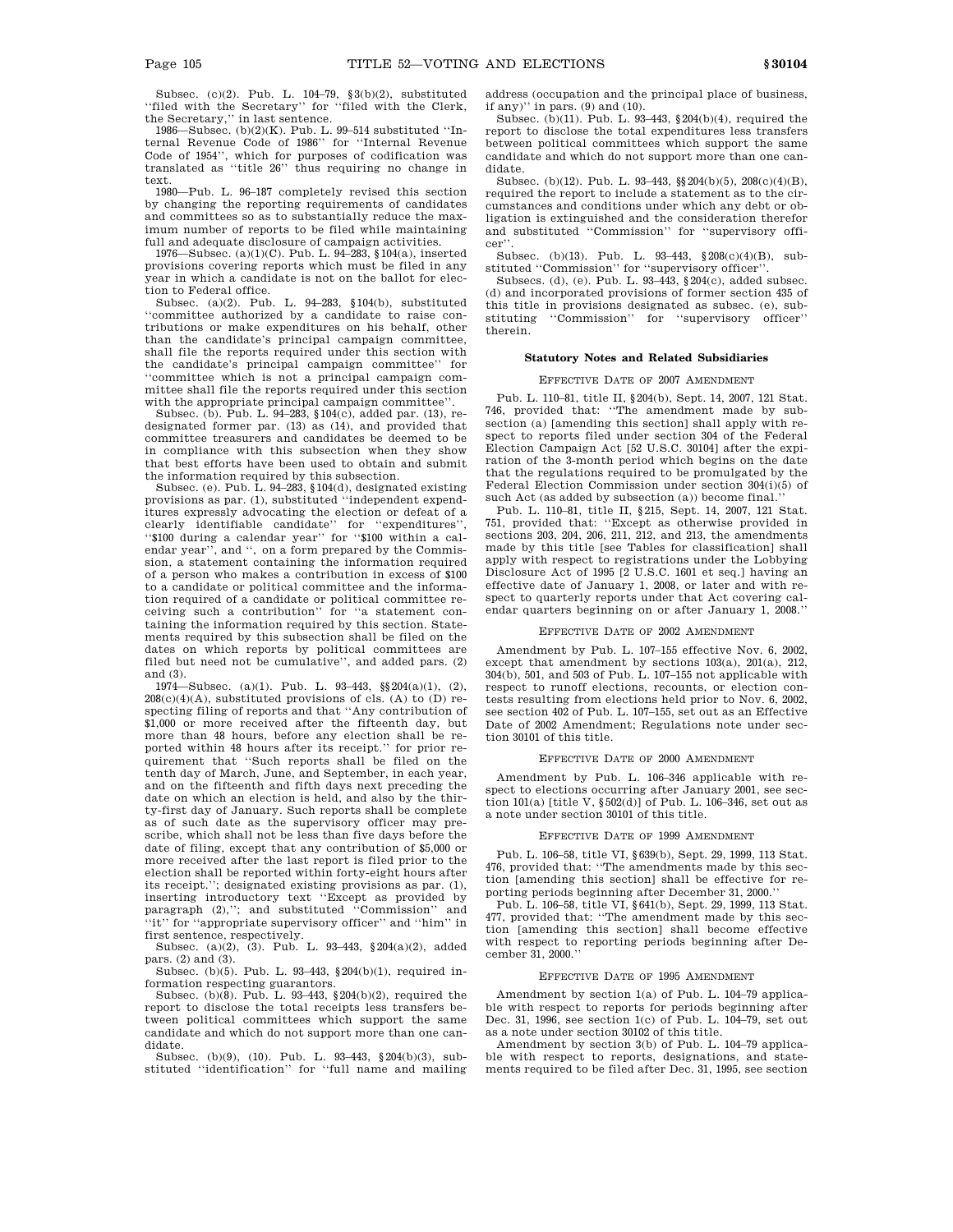Subsec. (c)(2). Pub. L. 104–79, §3(b)(2), substituted ''filed with the Secretary'' for ''filed with the Clerk, the Secretary,'' in last sentence.

1986—Subsec. (b)(2)(K). Pub. L. 99–514 substituted ''Internal Revenue Code of 1986'' for ''Internal Revenue Code of 1954'', which for purposes of codification was translated as ''title 26'' thus requiring no change in text.

1980—Pub. L. 96–187 completely revised this section by changing the reporting requirements of candidates and committees so as to substantially reduce the maximum number of reports to be filed while maintaining full and adequate disclosure of campaign activities.

1976—Subsec. (a)(1)(C). Pub. L. 94–283, §104(a), inserted provisions covering reports which must be filed in any year in which a candidate is not on the ballot for election to Federal office.

Subsec. (a)(2). Pub. L. 94–283, §104(b), substituted ''committee authorized by a candidate to raise contributions or make expenditures on his behalf, other than the candidate's principal campaign committee, shall file the reports required under this section with the candidate's principal campaign committee'' for ''committee which is not a principal campaign committee shall file the reports required under this section with the appropriate principal campaign committee''.

Subsec. (b). Pub. L. 94–283, §104(c), added par. (13), redesignated former par. (13) as (14), and provided that committee treasurers and candidates be deemed to be in compliance with this subsection when they show that best efforts have been used to obtain and submit the information required by this subsection.

Subsec. (e). Pub.  $\hat{L}$ . 94–283, §104(d), designated existing provisions as par. (1), substituted ''independent expenditures expressly advocating the election or defeat of a clearly identifiable candidate'' for ''expenditures'', ''\$100 during a calendar year'' for ''\$100 within a calendar year'', and '', on a form prepared by the Commission, a statement containing the information required of a person who makes a contribution in excess of \$100 to a candidate or political committee and the information required of a candidate or political committee receiving such a contribution'' for ''a statement containing the information required by this section. Statements required by this subsection shall be filed on the dates on which reports by political committees are filed but need not be cumulative'', and added pars. (2) and (3).

1974—Subsec. (a)(1). Pub. L. 93-443,  $\S(204(a)(1), (2),$  $208(c)(4)(A)$ , substituted provisions of cls. (A) to (D) respecting filing of reports and that ''Any contribution of \$1,000 or more received after the fifteenth day, but more than 48 hours, before any election shall be reported within 48 hours after its receipt.'' for prior requirement that ''Such reports shall be filed on the tenth day of March, June, and September, in each year, and on the fifteenth and fifth days next preceding the date on which an election is held, and also by the thirty-first day of January. Such reports shall be complete as of such date as the supervisory officer may prescribe, which shall not be less than five days before the date of filing, except that any contribution of \$5,000 or more received after the last report is filed prior to the election shall be reported within forty-eight hours after its receipt.''; designated existing provisions as par. (1), inserting introductory text ''Except as provided by paragraph (2),''; and substituted ''Commission'' and ''it'' for ''appropriate supervisory officer'' and ''him'' in first sentence, respectively.

Subsec. (a)(2), (3). Pub. L. 93–443, §204(a)(2), added

pars. (2) and (3). Subsec. (b)(5). Pub. L. 93–443, §204(b)(1), required information respecting guarantors.

Subsec. (b)(8). Pub. L. 93–443, §204(b)(2), required the report to disclose the total receipts less transfers between political committees which support the same candidate and which do not support more than one candidate.

Subsec. (b)(9), (10). Pub. L. 93–443, §204(b)(3), substituted ''identification'' for ''full name and mailing address (occupation and the principal place of business, if any)'' in pars. (9) and (10).

Subsec. (b)(11). Pub. L. 93–443, §204(b)(4), required the report to disclose the total expenditures less transfers between political committees which support the same candidate and which do not support more than one candidate.

Subsec. (b)(12). Pub. L. 93–443, §§204(b)(5), 208(c)(4)(B), required the report to include a statement as to the circumstances and conditions under which any debt or obligation is extinguished and the consideration therefor and substituted "Commission" for "supervisory officer''.

Subsec. (b)(13). Pub. L. 93–443, §208(c)(4)(B), substituted ''Commission'' for ''supervisory officer''.

Subsecs. (d), (e). Pub. L.  $93-443$ ,  $204(c)$ , added subsec. (d) and incorporated provisions of former section 435 of this title in provisions designated as subsec. (e), substituting ''Commission'' for ''supervisory officer'' therein.

# **Statutory Notes and Related Subsidiaries**

#### EFFECTIVE DATE OF 2007 AMENDMENT

Pub. L. 110–81, title II, §204(b), Sept. 14, 2007, 121 Stat. 746, provided that: ''The amendment made by subsection (a) [amending this section] shall apply with respect to reports filed under section 304 of the Federal Election Campaign Act [52 U.S.C. 30104] after the expiration of the 3-month period which begins on the date that the regulations required to be promulgated by the Federal Election Commission under section 304(i)(5) of such Act (as added by subsection (a)) become final.''

Pub. L. 110–81, title II, §215, Sept. 14, 2007, 121 Stat. 751, provided that: ''Except as otherwise provided in sections 203, 204, 206, 211, 212, and 213, the amendments made by this title [see Tables for classification] shall apply with respect to registrations under the Lobbying Disclosure Act of 1995 [2 U.S.C. 1601 et seq.] having an effective date of January 1, 2008, or later and with respect to quarterly reports under that Act covering calendar quarters beginning on or after January 1, 2008.''

#### EFFECTIVE DATE OF 2002 AMENDMEN

Amendment by Pub. L. 107–155 effective Nov. 6, 2002, except that amendment by sections 103(a), 201(a), 212, 304(b), 501, and 503 of Pub. L. 107–155 not applicable with respect to runoff elections, recounts, or election contests resulting from elections held prior to Nov. 6, 2002, see section 402 of Pub. L. 107–155, set out as an Effective Date of 2002 Amendment; Regulations note under section 30101 of this title.

#### EFFECTIVE DATE OF 2000 AMENDMENT

Amendment by Pub. L. 106–346 applicable with respect to elections occurring after January 2001, see section 101(a) [title V,  $\S\,502\mathrm{(d)}$  ] of Pub. L. 106–346, set out as a note under section 30101 of this title.

#### EFFECTIVE DATE OF 1999 AMENDMENT

Pub. L. 106–58, title VI, §639(b), Sept. 29, 1999, 113 Stat. 476, provided that: ''The amendments made by this section [amending this section] shall be effective for reporting periods beginning after December 31, 2000.''

Pub. L. 106–58, title VI, §641(b), Sept. 29, 1999, 113 Stat. 477, provided that: "The amendment made by this section [amending this section] shall become effective with respect to reporting periods beginning after December 31, 2000.''

#### EFFECTIVE DATE OF 1995 AMENDMENT

Amendment by section 1(a) of Pub. L. 104–79 applicable with respect to reports for periods beginning after Dec. 31, 1996, see section 1(c) of Pub. L. 104–79, set out as a note under section 30102 of this title.

Amendment by section 3(b) of Pub. L. 104–79 applica-ble with respect to reports, designations, and statements required to be filed after Dec. 31, 1995, see section